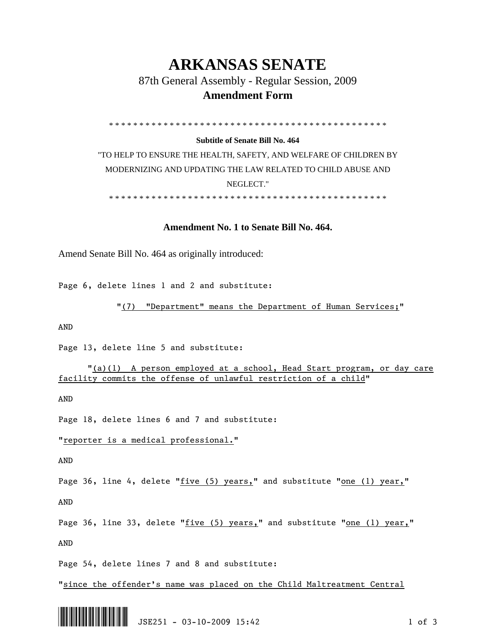## **ARKANSAS SENATE**

87th General Assembly - Regular Session, 2009

## **Amendment Form**

\* \* \* \* \* \* \* \* \* \* \* \* \* \* \* \* \* \* \* \* \* \* \* \* \* \* \* \* \* \* \* \* \* \* \* \* \* \* \* \* \* \* \* \* \* \*

## **Subtitle of Senate Bill No. 464**

"TO HELP TO ENSURE THE HEALTH, SAFETY, AND WELFARE OF CHILDREN BY MODERNIZING AND UPDATING THE LAW RELATED TO CHILD ABUSE AND NEGLECT."

\* \* \* \* \* \* \* \* \* \* \* \* \* \* \* \* \* \* \* \* \* \* \* \* \* \* \* \* \* \* \* \* \* \* \* \* \* \* \* \* \* \* \* \* \* \*

## **Amendment No. 1 to Senate Bill No. 464.**

Amend Senate Bill No. 464 as originally introduced:

Page 6, delete lines 1 and 2 and substitute:

```
"(7) "Department" means the Department of Human Services;"
```
AND

Page 13, delete line 5 and substitute:

 "(a)(1) A person employed at a school, Head Start program, or day care facility commits the offense of unlawful restriction of a child"

AND

Page 18, delete lines 6 and 7 and substitute:

"reporter is a medical professional."

AND

Page 36, line 4, delete " $five$  (5) years," and substitute "one (1) year,"

AND

Page 36, line 33, delete "five (5) years," and substitute "one (1) year," AND

Page 54, delete lines 7 and 8 and substitute:

"since the offender's name was placed on the Child Maltreatment Central

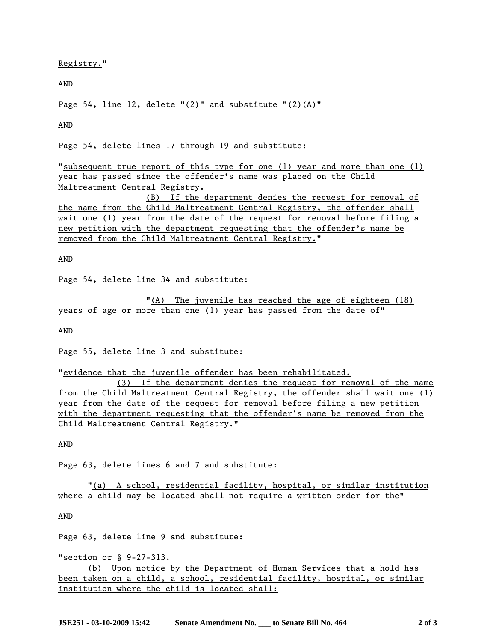Registry."

AND

Page 54, line 12, delete " $(2)$ " and substitute " $(2)$  $(A)$ "

AND

Page 54, delete lines 17 through 19 and substitute:

"subsequent true report of this type for one (1) year and more than one (1) year has passed since the offender's name was placed on the Child Maltreatment Central Registry.

 (B) If the department denies the request for removal of the name from the Child Maltreatment Central Registry, the offender shall wait one (1) year from the date of the request for removal before filing a new petition with the department requesting that the offender's name be removed from the Child Maltreatment Central Registry."

AND

Page 54, delete line 34 and substitute:

 "(A) The juvenile has reached the age of eighteen (18) years of age or more than one (1) year has passed from the date of"

AND

Page 55, delete line 3 and substitute:

"evidence that the juvenile offender has been rehabilitated.

 (3) If the department denies the request for removal of the name from the Child Maltreatment Central Registry, the offender shall wait one (1) year from the date of the request for removal before filing a new petition with the department requesting that the offender's name be removed from the Child Maltreatment Central Registry."

AND

Page 63, delete lines 6 and 7 and substitute:

 "(a) A school, residential facility, hospital, or similar institution where a child may be located shall not require a written order for the"

AND

Page 63, delete line 9 and substitute:

"section or § 9-27-313.

 (b) Upon notice by the Department of Human Services that a hold has been taken on a child, a school, residential facility, hospital, or similar institution where the child is located shall: